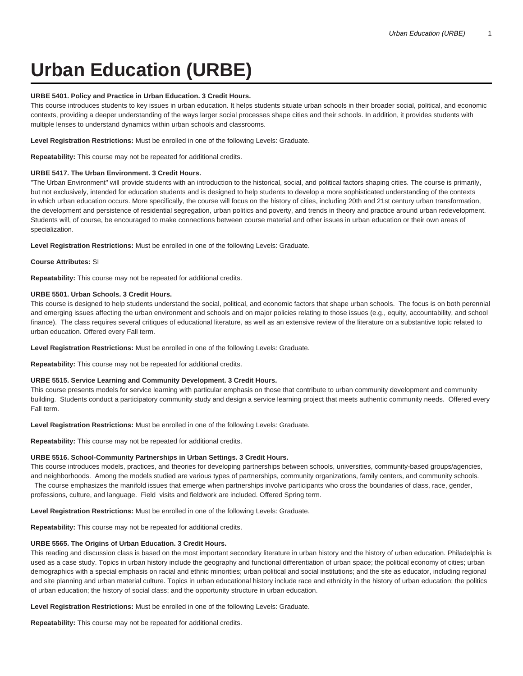# **Urban Education (URBE)**

# **URBE 5401. Policy and Practice in Urban Education. 3 Credit Hours.**

This course introduces students to key issues in urban education. It helps students situate urban schools in their broader social, political, and economic contexts, providing a deeper understanding of the ways larger social processes shape cities and their schools. In addition, it provides students with multiple lenses to understand dynamics within urban schools and classrooms.

**Level Registration Restrictions:** Must be enrolled in one of the following Levels: Graduate.

**Repeatability:** This course may not be repeated for additional credits.

## **URBE 5417. The Urban Environment. 3 Credit Hours.**

"The Urban Environment" will provide students with an introduction to the historical, social, and political factors shaping cities. The course is primarily, but not exclusively, intended for education students and is designed to help students to develop a more sophisticated understanding of the contexts in which urban education occurs. More specifically, the course will focus on the history of cities, including 20th and 21st century urban transformation, the development and persistence of residential segregation, urban politics and poverty, and trends in theory and practice around urban redevelopment. Students will, of course, be encouraged to make connections between course material and other issues in urban education or their own areas of specialization.

**Level Registration Restrictions:** Must be enrolled in one of the following Levels: Graduate.

# **Course Attributes:** SI

**Repeatability:** This course may not be repeated for additional credits.

## **URBE 5501. Urban Schools. 3 Credit Hours.**

This course is designed to help students understand the social, political, and economic factors that shape urban schools. The focus is on both perennial and emerging issues affecting the urban environment and schools and on major policies relating to those issues (e.g., equity, accountability, and school finance). The class requires several critiques of educational literature, as well as an extensive review of the literature on a substantive topic related to urban education. Offered every Fall term.

**Level Registration Restrictions:** Must be enrolled in one of the following Levels: Graduate.

**Repeatability:** This course may not be repeated for additional credits.

## **URBE 5515. Service Learning and Community Development. 3 Credit Hours.**

This course presents models for service learning with particular emphasis on those that contribute to urban community development and community building. Students conduct a participatory community study and design a service learning project that meets authentic community needs. Offered every Fall term.

**Level Registration Restrictions:** Must be enrolled in one of the following Levels: Graduate.

**Repeatability:** This course may not be repeated for additional credits.

## **URBE 5516. School-Community Partnerships in Urban Settings. 3 Credit Hours.**

This course introduces models, practices, and theories for developing partnerships between schools, universities, community-based groups/agencies, and neighborhoods. Among the models studied are various types of partnerships, community organizations, family centers, and community schools. The course emphasizes the manifold issues that emerge when partnerships involve participants who cross the boundaries of class, race, gender, professions, culture, and language. Field visits and fieldwork are included. Offered Spring term.

**Level Registration Restrictions:** Must be enrolled in one of the following Levels: Graduate.

**Repeatability:** This course may not be repeated for additional credits.

# **URBE 5565. The Origins of Urban Education. 3 Credit Hours.**

This reading and discussion class is based on the most important secondary literature in urban history and the history of urban education. Philadelphia is used as a case study. Topics in urban history include the geography and functional differentiation of urban space; the political economy of cities; urban demographics with a special emphasis on racial and ethnic minorities; urban political and social institutions; and the site as educator, including regional and site planning and urban material culture. Topics in urban educational history include race and ethnicity in the history of urban education; the politics of urban education; the history of social class; and the opportunity structure in urban education.

**Level Registration Restrictions:** Must be enrolled in one of the following Levels: Graduate.

**Repeatability:** This course may not be repeated for additional credits.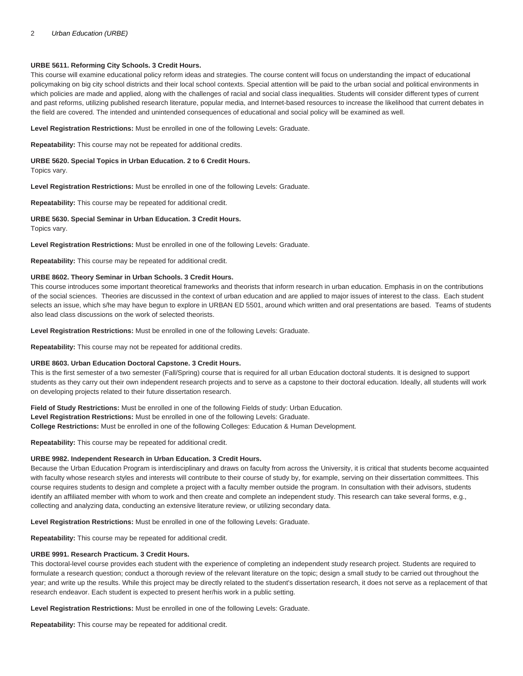### 2 Urban Education (URBE)

#### **URBE 5611. Reforming City Schools. 3 Credit Hours.**

This course will examine educational policy reform ideas and strategies. The course content will focus on understanding the impact of educational policymaking on big city school districts and their local school contexts. Special attention will be paid to the urban social and political environments in which policies are made and applied, along with the challenges of racial and social class inequalities. Students will consider different types of current and past reforms, utilizing published research literature, popular media, and Internet-based resources to increase the likelihood that current debates in the field are covered. The intended and unintended consequences of educational and social policy will be examined as well.

**Level Registration Restrictions:** Must be enrolled in one of the following Levels: Graduate.

**Repeatability:** This course may not be repeated for additional credits.

**URBE 5620. Special Topics in Urban Education. 2 to 6 Credit Hours.** Topics vary.

**Level Registration Restrictions:** Must be enrolled in one of the following Levels: Graduate.

**Repeatability:** This course may be repeated for additional credit.

#### **URBE 5630. Special Seminar in Urban Education. 3 Credit Hours.**

Topics vary.

**Level Registration Restrictions:** Must be enrolled in one of the following Levels: Graduate.

**Repeatability:** This course may be repeated for additional credit.

# **URBE 8602. Theory Seminar in Urban Schools. 3 Credit Hours.**

This course introduces some important theoretical frameworks and theorists that inform research in urban education. Emphasis in on the contributions of the social sciences. Theories are discussed in the context of urban education and are applied to major issues of interest to the class. Each student selects an issue, which s/he may have begun to explore in URBAN ED 5501, around which written and oral presentations are based. Teams of students also lead class discussions on the work of selected theorists.

**Level Registration Restrictions:** Must be enrolled in one of the following Levels: Graduate.

**Repeatability:** This course may not be repeated for additional credits.

#### **URBE 8603. Urban Education Doctoral Capstone. 3 Credit Hours.**

This is the first semester of a two semester (Fall/Spring) course that is required for all urban Education doctoral students. It is designed to support students as they carry out their own independent research projects and to serve as a capstone to their doctoral education. Ideally, all students will work on developing projects related to their future dissertation research.

**Field of Study Restrictions:** Must be enrolled in one of the following Fields of study: Urban Education. **Level Registration Restrictions:** Must be enrolled in one of the following Levels: Graduate. **College Restrictions:** Must be enrolled in one of the following Colleges: Education & Human Development.

**Repeatability:** This course may be repeated for additional credit.

#### **URBE 9982. Independent Research in Urban Education. 3 Credit Hours.**

Because the Urban Education Program is interdisciplinary and draws on faculty from across the University, it is critical that students become acquainted with faculty whose research styles and interests will contribute to their course of study by, for example, serving on their dissertation committees. This course requires students to design and complete a project with a faculty member outside the program. In consultation with their advisors, students identify an affiliated member with whom to work and then create and complete an independent study. This research can take several forms, e.g., collecting and analyzing data, conducting an extensive literature review, or utilizing secondary data.

**Level Registration Restrictions:** Must be enrolled in one of the following Levels: Graduate.

**Repeatability:** This course may be repeated for additional credit.

#### **URBE 9991. Research Practicum. 3 Credit Hours.**

This doctoral-level course provides each student with the experience of completing an independent study research project. Students are required to formulate a research question; conduct a thorough review of the relevant literature on the topic; design a small study to be carried out throughout the year; and write up the results. While this project may be directly related to the student's dissertation research, it does not serve as a replacement of that research endeavor. Each student is expected to present her/his work in a public setting.

**Level Registration Restrictions:** Must be enrolled in one of the following Levels: Graduate.

**Repeatability:** This course may be repeated for additional credit.